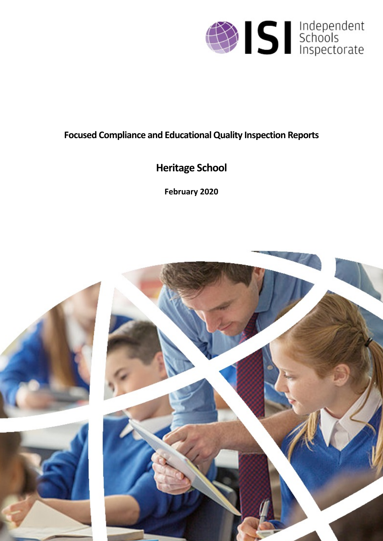

# **Focused Compliance and EducationalQuality Inspection Reports**

# **Heritage School**

**February 2020**

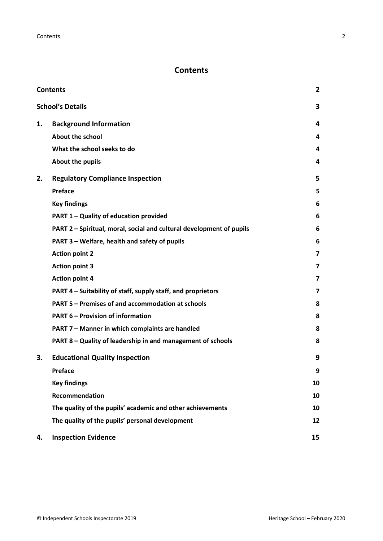# <span id="page-1-0"></span>**Contents**

| <b>Contents</b> |                                                                      |                         |
|-----------------|----------------------------------------------------------------------|-------------------------|
|                 | <b>School's Details</b>                                              | 3                       |
| 1.              | <b>Background Information</b>                                        | 4                       |
|                 | <b>About the school</b>                                              | 4                       |
|                 | What the school seeks to do                                          | 4                       |
|                 | About the pupils                                                     | 4                       |
| 2.              | <b>Regulatory Compliance Inspection</b>                              | 5                       |
|                 | Preface                                                              | 5                       |
|                 | <b>Key findings</b>                                                  | 6                       |
|                 | PART 1 - Quality of education provided                               | 6                       |
|                 | PART 2 - Spiritual, moral, social and cultural development of pupils | 6                       |
|                 | PART 3 - Welfare, health and safety of pupils                        | 6                       |
|                 | <b>Action point 2</b>                                                | $\overline{\mathbf{z}}$ |
|                 | <b>Action point 3</b>                                                | 7                       |
|                 | <b>Action point 4</b>                                                | $\overline{\mathbf{z}}$ |
|                 | PART 4 – Suitability of staff, supply staff, and proprietors         | 7                       |
|                 | PART 5 - Premises of and accommodation at schools                    | 8                       |
|                 | <b>PART 6 - Provision of information</b>                             | 8                       |
|                 | PART 7 - Manner in which complaints are handled                      | 8                       |
|                 | PART 8 - Quality of leadership in and management of schools          | 8                       |
| 3.              | <b>Educational Quality Inspection</b>                                | 9                       |
|                 | Preface                                                              | 9                       |
|                 | <b>Key findings</b>                                                  | 10                      |
|                 | Recommendation                                                       | 10                      |
|                 | The quality of the pupils' academic and other achievements           | 10                      |
|                 | The quality of the pupils' personal development                      | 12                      |
| 4.              | <b>Inspection Evidence</b>                                           | 15                      |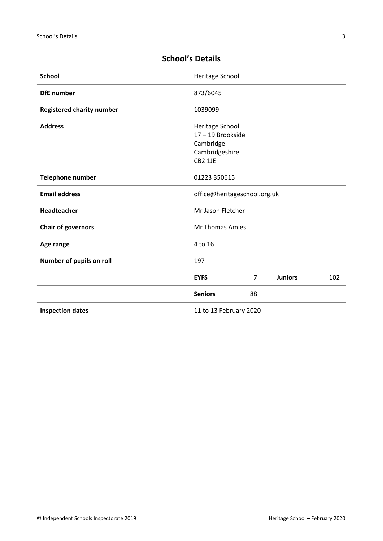| <b>School</b>                    | Heritage School                                                              |    |                |     |
|----------------------------------|------------------------------------------------------------------------------|----|----------------|-----|
| <b>DfE</b> number                | 873/6045                                                                     |    |                |     |
| <b>Registered charity number</b> | 1039099                                                                      |    |                |     |
| <b>Address</b>                   | Heritage School<br>17-19 Brookside<br>Cambridge<br>Cambridgeshire<br>CB2 1JE |    |                |     |
| <b>Telephone number</b>          | 01223 350615                                                                 |    |                |     |
| <b>Email address</b>             | office@heritageschool.org.uk                                                 |    |                |     |
| Headteacher                      | Mr Jason Fletcher                                                            |    |                |     |
| <b>Chair of governors</b>        | Mr Thomas Amies                                                              |    |                |     |
| Age range                        | 4 to 16                                                                      |    |                |     |
| Number of pupils on roll         | 197                                                                          |    |                |     |
|                                  | <b>EYFS</b>                                                                  | 7  | <b>Juniors</b> | 102 |
|                                  | <b>Seniors</b>                                                               | 88 |                |     |
| <b>Inspection dates</b>          | 11 to 13 February 2020                                                       |    |                |     |

# <span id="page-2-0"></span>**School's Details**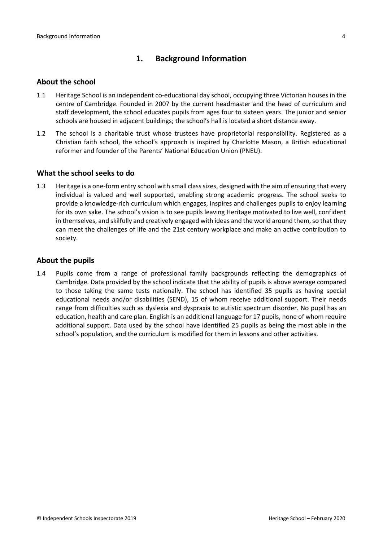## <span id="page-3-0"></span>**1. Background Information**

#### <span id="page-3-1"></span>**About the school**

- 1.1 Heritage School is an independent co-educational day school, occupying three Victorian houses in the centre of Cambridge. Founded in 2007 by the current headmaster and the head of curriculum and staff development, the school educates pupils from ages four to sixteen years. The junior and senior schools are housed in adjacent buildings; the school's hall is located a short distance away.
- 1.2 The school is a charitable trust whose trustees have proprietorial responsibility. Registered as a Christian faith school, the school's approach is inspired by Charlotte Mason, a British educational reformer and founder of the Parents' National Education Union (PNEU).

#### <span id="page-3-2"></span>**What the school seeks to do**

1.3 Heritage is a one-form entry school with small class sizes, designed with the aim of ensuring that every individual is valued and well supported, enabling strong academic progress. The school seeks to provide a knowledge-rich curriculum which engages, inspires and challenges pupils to enjoy learning for its own sake. The school's vision is to see pupils leaving Heritage motivated to live well, confident in themselves, and skilfully and creatively engaged with ideas and the world around them, so that they can meet the challenges of life and the 21st century workplace and make an active contribution to society.

#### <span id="page-3-3"></span>**About the pupils**

1.4 Pupils come from a range of professional family backgrounds reflecting the demographics of Cambridge. Data provided by the school indicate that the ability of pupils is above average compared to those taking the same tests nationally. The school has identified 35 pupils as having special educational needs and/or disabilities (SEND), 15 of whom receive additional support. Their needs range from difficulties such as dyslexia and dyspraxia to autistic spectrum disorder. No pupil has an education, health and care plan. English is an additional language for 17 pupils, none of whom require additional support. Data used by the school have identified 25 pupils as being the most able in the school's population, and the curriculum is modified for them in lessons and other activities.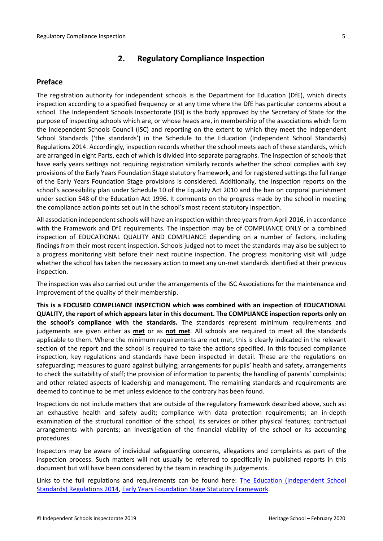## <span id="page-4-0"></span>**2. Regulatory Compliance Inspection**

### <span id="page-4-1"></span>**Preface**

The registration authority for independent schools is the Department for Education (DfE), which directs inspection according to a specified frequency or at any time where the DfE has particular concerns about a school. The Independent Schools Inspectorate (ISI) is the body approved by the Secretary of State for the purpose of inspecting schools which are, or whose heads are, in membership of the associations which form the Independent Schools Council (ISC) and reporting on the extent to which they meet the Independent School Standards ('the standards') in the Schedule to the Education (Independent School Standards) Regulations 2014. Accordingly, inspection records whether the school meets each of these standards, which are arranged in eight Parts, each of which is divided into separate paragraphs. The inspection of schools that have early years settings not requiring registration similarly records whether the school complies with key provisions of the Early Years Foundation Stage statutory framework, and for registered settings the full range of the Early Years Foundation Stage provisions is considered. Additionally, the inspection reports on the school's accessibility plan under Schedule 10 of the Equality Act 2010 and the ban on corporal punishment under section 548 of the Education Act 1996. It comments on the progress made by the school in meeting the compliance action points set out in the school's most recent statutory inspection.

All association independent schools will have an inspection within three yearsfrom April 2016, in accordance with the Framework and DfE requirements. The inspection may be of COMPLIANCE ONLY or a combined inspection of EDUCATIONAL QUALITY AND COMPLIANCE depending on a number of factors, including findings from their most recent inspection. Schools judged not to meet the standards may also be subject to a progress monitoring visit before their next routine inspection. The progress monitoring visit will judge whether the school has taken the necessary action to meet any un-met standards identified at their previous inspection.

The inspection was also carried out under the arrangements of the ISC Associations for the maintenance and improvement of the quality of their membership.

**This is a FOCUSED COMPLIANCE INSPECTION which was combined with an inspection of EDUCATIONAL QUALITY, the report of which appears later in this document. The COMPLIANCE inspection reports only on the school's compliance with the standards.** The standards represent minimum requirements and judgements are given either as **met** or as **not met**. All schools are required to meet all the standards applicable to them. Where the minimum requirements are not met, this is clearly indicated in the relevant section of the report and the school is required to take the actions specified. In this focused compliance inspection, key regulations and standards have been inspected in detail. These are the regulations on safeguarding; measures to guard against bullying; arrangements for pupils' health and safety, arrangements to check the suitability of staff; the provision of information to parents; the handling of parents' complaints; and other related aspects of leadership and management. The remaining standards and requirements are deemed to continue to be met unless evidence to the contrary has been found.

Inspections do not include matters that are outside of the regulatory framework described above, such as: an exhaustive health and safety audit; compliance with data protection requirements; an in-depth examination of the structural condition of the school, its services or other physical features; contractual arrangements with parents; an investigation of the financial viability of the school or its accounting procedures.

Inspectors may be aware of individual safeguarding concerns, allegations and complaints as part of the inspection process. Such matters will not usually be referred to specifically in published reports in this document but will have been considered by the team in reaching its judgements.

Links to the full regulations and requirements can be found here: The Education [\(Independent](http://www.legislation.gov.uk/uksi/2014/3283/contents/made) School Standards) [Regulations](http://www.legislation.gov.uk/uksi/2014/3283/contents/made) 2014, Early Years Foundation Stage Statutory [Framework.](https://www.gov.uk/government/publications/early-years-foundation-stage-framework--2)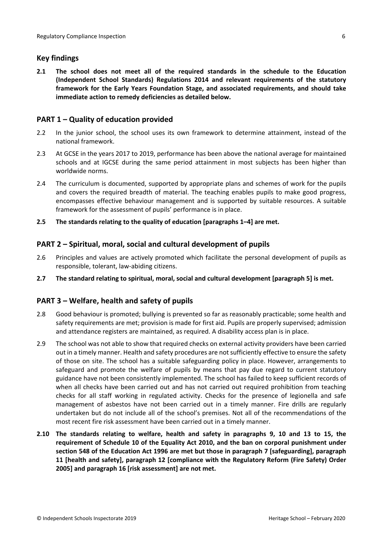## <span id="page-5-0"></span>**Key findings**

**2.1 The school does not meet all of the required standards in the schedule to the Education (Independent School Standards) Regulations 2014 and relevant requirements of the statutory framework for the Early Years Foundation Stage, and associated requirements, and should take immediate action to remedy deficiencies as detailed below.**

## <span id="page-5-1"></span>**PART 1 – Quality of education provided**

- 2.2 In the junior school, the school uses its own framework to determine attainment, instead of the national framework.
- 2.3 At GCSE in the years 2017 to 2019, performance has been above the national average for maintained schools and at IGCSE during the same period attainment in most subjects has been higher than worldwide norms.
- 2.4 The curriculum is documented, supported by appropriate plans and schemes of work for the pupils and covers the required breadth of material. The teaching enables pupils to make good progress, encompasses effective behaviour management and is supported by suitable resources. A suitable framework for the assessment of pupils' performance is in place.
- **2.5 The standards relating to the quality of education [paragraphs 1–4] are met.**

## <span id="page-5-2"></span>**PART 2 – Spiritual, moral, social and cultural development of pupils**

- 2.6 Principles and values are actively promoted which facilitate the personal development of pupils as responsible, tolerant, law-abiding citizens.
- **2.7 The standard relating to spiritual, moral, social and cultural development [paragraph 5] is met.**

## <span id="page-5-3"></span>**PART 3 – Welfare, health and safety of pupils**

- 2.8 Good behaviour is promoted; bullying is prevented so far as reasonably practicable; some health and safety requirements are met; provision is made for first aid. Pupils are properly supervised; admission and attendance registers are maintained, as required. A disability access plan is in place.
- 2.9 The school was not able to show that required checks on external activity providers have been carried out in a timely manner. Health and safety procedures are not sufficiently effective to ensure the safety of those on site. The school has a suitable safeguarding policy in place. However, arrangements to safeguard and promote the welfare of pupils by means that pay due regard to current statutory guidance have not been consistently implemented. The school has failed to keep sufficient records of when all checks have been carried out and has not carried out required prohibition from teaching checks for all staff working in regulated activity. Checks for the presence of legionella and safe management of asbestos have not been carried out in a timely manner. Fire drills are regularly undertaken but do not include all of the school's premises. Not all of the recommendations of the most recent fire risk assessment have been carried out in a timely manner.
- **2.10 The standards relating to welfare, health and safety in paragraphs 9, 10 and 13 to 15, the requirement of Schedule 10 of the Equality Act 2010, and the ban on corporal punishment under section 548 of the Education Act 1996 are met but those in paragraph 7 [safeguarding], paragraph 11 [health and safety], paragraph 12 [compliance with the Regulatory Reform (Fire Safety) Order 2005] and paragraph 16 [risk assessment] are not met.**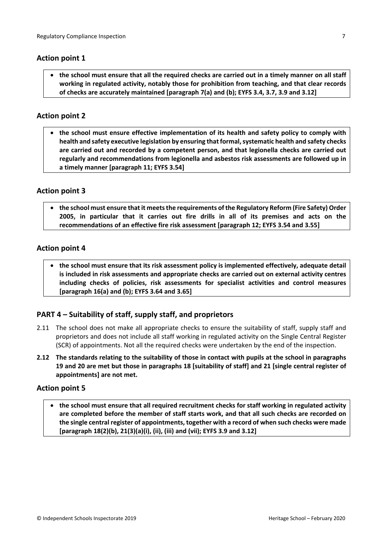### **Action point 1**

the school must ensure that all the required checks are carried out in a timely manner on all staff **working in regulated activity, notably those for prohibition from teaching, and that clear records of checks are accurately maintained [paragraph 7(a) and (b); EYFS 3.4, 3.7, 3.9 and 3.12]**

## <span id="page-6-0"></span>**Action point 2**

 **the school must ensure effective implementation of its health and safety policy to comply with health and safety executive legislation by ensuring thatformal,systematic health and safety checks are carried out and recorded by a competent person, and that legionella checks are carried out regularly and recommendations from legionella and asbestos risk assessments are followed up in a timely manner [paragraph 11; EYFS 3.54]**

## <span id="page-6-1"></span>**Action point 3**

 **the school must ensure that it meetsthe requirements ofthe Regulatory Reform (Fire Safety) Order 2005, in particular that it carries out fire drills in all of its premises and acts on the recommendations of an effective fire risk assessment [paragraph 12; EYFS 3.54 and 3.55]**

#### <span id="page-6-2"></span>**Action point 4**

 **the school must ensure that its risk assessment policy is implemented effectively, adequate detail is included in risk assessments and appropriate checks are carried out on external activity centres including checks of policies, risk assessments for specialist activities and control measures [paragraph 16(a) and (b); EYFS 3.64 and 3.65]**

## <span id="page-6-3"></span>**PART 4 – Suitability of staff, supply staff, and proprietors**

- 2.11 The school does not make all appropriate checks to ensure the suitability of staff, supply staff and proprietors and does not include all staff working in regulated activity on the Single Central Register (SCR) of appointments. Not all the required checks were undertaken by the end of the inspection.
- 2.12 The standards relating to the suitability of those in contact with pupils at the school in paragraphs 19 and 20 are met but those in paragraphs 18 [suitability of staff] and 21 [single central register of **appointments] are not met.**

#### **Action point 5**

 **the school must ensure that all required recruitment checks for staff working in regulated activity are completed before the member of staff starts work, and that all such checks are recorded on the single central register of appointments, together with a record of when such checks were made [paragraph 18(2)(b), 21(3)(a)(i), (ii), (iii) and (vii); EYFS 3.9 and 3.12]**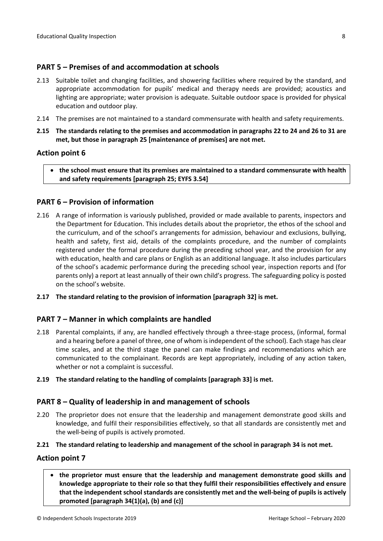#### <span id="page-7-0"></span>**PART 5 – Premises of and accommodation at schools**

- 2.13 Suitable toilet and changing facilities, and showering facilities where required by the standard, and appropriate accommodation for pupils' medical and therapy needs are provided; acoustics and lighting are appropriate; water provision is adequate. Suitable outdoor space is provided for physical education and outdoor play.
- 2.14 The premises are not maintained to a standard commensurate with health and safety requirements.
- 2.15 The standards relating to the premises and accommodation in paragraphs 22 to 24 and 26 to 31 are **met, but those in paragraph 25 [maintenance of premises] are not met.**

#### **Action point 6**

 **the school must ensure that its premises are maintained to a standard commensurate with health and safety requirements [paragraph 25; EYFS 3.54]**

#### <span id="page-7-1"></span>**PART 6 – Provision of information**

- 2.16 A range of information is variously published, provided or made available to parents, inspectors and the Department for Education. This includes details about the proprietor, the ethos of the school and the curriculum, and of the school's arrangements for admission, behaviour and exclusions, bullying, health and safety, first aid, details of the complaints procedure, and the number of complaints registered under the formal procedure during the preceding school year, and the provision for any with education, health and care plans or English as an additional language. It also includes particulars of the school's academic performance during the preceding school year, inspection reports and (for parents only) a report at least annually of their own child's progress. The safeguarding policy is posted on the school's website.
- **2.17 The standard relating to the provision of information [paragraph 32] is met.**

#### <span id="page-7-2"></span>**PART 7 – Manner in which complaints are handled**

- 2.18 Parental complaints, if any, are handled effectively through a three-stage process, (informal, formal and a hearing before a panel of three, one of whom is independent of the school). Each stage has clear time scales, and at the third stage the panel can make findings and recommendations which are communicated to the complainant. Records are kept appropriately, including of any action taken, whether or not a complaint is successful.
- **2.19 The standard relating to the handling of complaints [paragraph 33] is met.**

#### <span id="page-7-3"></span>**PART 8 – Quality of leadership in and management of schools**

2.20 The proprietor does not ensure that the leadership and management demonstrate good skills and knowledge, and fulfil their responsibilities effectively, so that all standards are consistently met and the well-being of pupils is actively promoted.

#### **2.21 The standard relating to leadership and management of the school in paragraph 34 is not met.**

#### **Action point 7**

 **the proprietor must ensure that the leadership and management demonstrate good skills and knowledge appropriate to their role so that they fulfil their responsibilities effectively and ensure that the independent school standards are consistently met and the well-being of pupils is actively promoted [paragraph 34(1)(a), (b) and (c)]**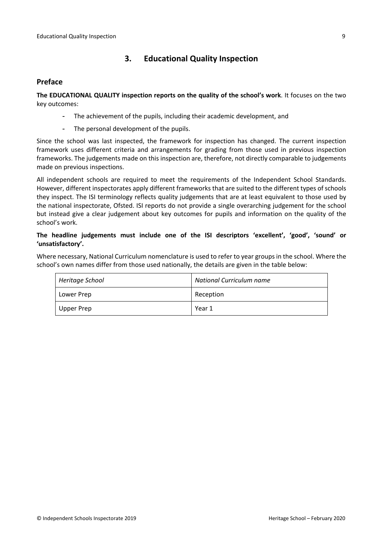# <span id="page-8-0"></span>**3. Educational Quality Inspection**

#### <span id="page-8-1"></span>**Preface**

**The EDUCATIONAL QUALITY inspection reports on the quality of the school's work**. It focuses on the two key outcomes:

- The achievement of the pupils, including their academic development, and
- The personal development of the pupils.

Since the school was last inspected, the framework for inspection has changed. The current inspection framework uses different criteria and arrangements for grading from those used in previous inspection frameworks. The judgements made on this inspection are, therefore, not directly comparable to judgements made on previous inspections.

All independent schools are required to meet the requirements of the Independent School Standards. However, different inspectorates apply different frameworks that are suited to the different types of schools they inspect. The ISI terminology reflects quality judgements that are at least equivalent to those used by the national inspectorate, Ofsted. ISI reports do not provide a single overarching judgement for the school but instead give a clear judgement about key outcomes for pupils and information on the quality of the school's work.

#### **The headline judgements must include one of the ISI descriptors 'excellent', 'good', 'sound' or 'unsatisfactory'.**

Where necessary, National Curriculum nomenclature is used to refer to year groups in the school. Where the school's own names differ from those used nationally, the details are given in the table below:

| Heritage School | <b>National Curriculum name</b> |  |  |
|-----------------|---------------------------------|--|--|
| Lower Prep      | Reception                       |  |  |
| Upper Prep      | Year 1                          |  |  |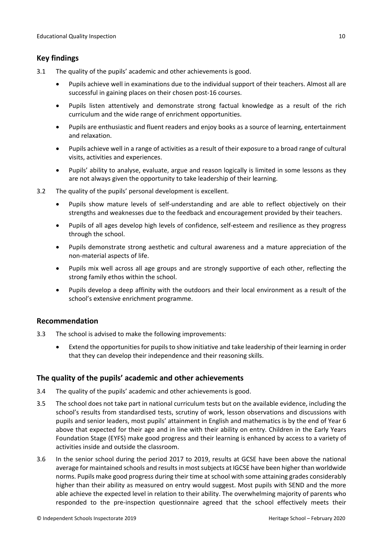# <span id="page-9-0"></span>**Key findings**

- 3.1 The quality of the pupils' academic and other achievements is good.
	- Pupils achieve well in examinations due to the individual support of their teachers. Almost all are successful in gaining places on their chosen post-16 courses.
	- Pupils listen attentively and demonstrate strong factual knowledge as a result of the rich curriculum and the wide range of enrichment opportunities.
	- Pupils are enthusiastic and fluent readers and enjoy books as a source of learning, entertainment and relaxation.
	- Pupils achieve well in a range of activities as a result of their exposure to a broad range of cultural visits, activities and experiences.
	- Pupils' ability to analyse, evaluate, argue and reason logically is limited in some lessons as they are not always given the opportunity to take leadership of their learning.
- 3.2 The quality of the pupils' personal development is excellent.
	- Pupils show mature levels of self-understanding and are able to reflect objectively on their strengths and weaknesses due to the feedback and encouragement provided by their teachers.
	- Pupils of all ages develop high levels of confidence, self-esteem and resilience as they progress through the school.
	- Pupils demonstrate strong aesthetic and cultural awareness and a mature appreciation of the non-material aspects of life.
	- Pupils mix well across all age groups and are strongly supportive of each other, reflecting the strong family ethos within the school.
	- Pupils develop a deep affinity with the outdoors and their local environment as a result of the school's extensive enrichment programme.

## <span id="page-9-1"></span>**Recommendation**

- 3.3 The school is advised to make the following improvements:
	- Extend the opportunities for pupils to show initiative and take leadership of their learning in order that they can develop their independence and their reasoning skills.

## <span id="page-9-2"></span>**The quality of the pupils' academic and other achievements**

- 3.4 The quality of the pupils' academic and other achievements is good.
- 3.5 The school does not take part in national curriculum tests but on the available evidence, including the school's results from standardised tests, scrutiny of work, lesson observations and discussions with pupils and senior leaders, most pupils' attainment in English and mathematics is by the end of Year 6 above that expected for their age and in line with their ability on entry. Children in the Early Years Foundation Stage (EYFS) make good progress and their learning is enhanced by access to a variety of activities inside and outside the classroom.
- 3.6 In the senior school during the period 2017 to 2019, results at GCSE have been above the national average for maintained schools and results in most subjects at IGCSE have been higher than worldwide norms. Pupils make good progress during their time atschool with some attaining grades considerably higher than their ability as measured on entry would suggest. Most pupils with SEND and the more able achieve the expected level in relation to their ability. The overwhelming majority of parents who responded to the pre-inspection questionnaire agreed that the school effectively meets their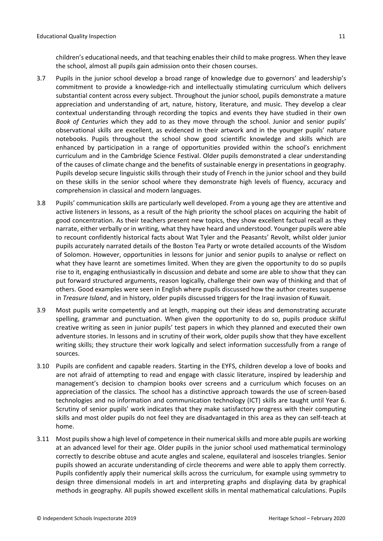children's educational needs, and that teaching enablestheir child to make progress. When they leave the school, almost all pupils gain admission onto their chosen courses.

- 3.7 Pupils in the junior school develop a broad range of knowledge due to governors' and leadership's commitment to provide a knowledge-rich and intellectually stimulating curriculum which delivers substantial content across every subject. Throughout the junior school, pupils demonstrate a mature appreciation and understanding of art, nature, history, literature, and music. They develop a clear contextual understanding through recording the topics and events they have studied in their own *Book of Centuries* which they add to as they move through the school. Junior and senior pupils' observational skills are excellent, as evidenced in their artwork and in the younger pupils' nature notebooks. Pupils throughout the school show good scientific knowledge and skills which are enhanced by participation in a range of opportunities provided within the school's enrichment curriculum and in the Cambridge Science Festival. Older pupils demonstrated a clear understanding of the causes of climate change and the benefits of sustainable energy in presentations in geography. Pupils develop secure linguistic skills through their study of French in the junior school and they build on these skills in the senior school where they demonstrate high levels of fluency, accuracy and comprehension in classical and modern languages.
- 3.8 Pupils' communication skills are particularly well developed. From a young age they are attentive and active listeners in lessons, as a result of the high priority the school places on acquiring the habit of good concentration. As their teachers present new topics, they show excellent factual recall as they narrate, either verbally or in writing, what they have heard and understood. Younger pupils were able to recount confidently historical facts about Wat Tyler and the Peasants' Revolt, whilst older junior pupils accurately narrated details of the Boston Tea Party or wrote detailed accounts of the Wisdom of Solomon. However, opportunities in lessons for junior and senior pupils to analyse or reflect on what they have learnt are sometimes limited. When they are given the opportunity to do so pupils rise to it, engaging enthusiastically in discussion and debate and some are able to show that they can put forward structured arguments, reason logically, challenge their own way of thinking and that of others. Good examples were seen in English where pupils discussed how the author creates suspense in *Treasure Island*, and in history, older pupils discussed triggers for the Iraqi invasion of Kuwait.
- 3.9 Most pupils write competently and at length, mapping out their ideas and demonstrating accurate spelling, grammar and punctuation. When given the opportunity to do so, pupils produce skilful creative writing as seen in junior pupils' test papers in which they planned and executed their own adventure stories. In lessons and in scrutiny of their work, older pupils show that they have excellent writing skills; they structure their work logically and select information successfully from a range of sources.
- 3.10 Pupils are confident and capable readers. Starting in the EYFS, children develop a love of books and are not afraid of attempting to read and engage with classic literature, inspired by leadership and management's decision to champion books over screens and a curriculum which focuses on an appreciation of the classics. The school has a distinctive approach towards the use of screen-based technologies and no information and communication technology (ICT) skills are taught until Year 6. Scrutiny of senior pupils' work indicates that they make satisfactory progress with their computing skills and most older pupils do not feel they are disadvantaged in this area as they can self-teach at home.
- 3.11 Most pupils show a high level of competence in their numerical skills and more able pupils are working at an advanced level for their age. Older pupils in the junior school used mathematical terminology correctly to describe obtuse and acute angles and scalene, equilateral and isosceles triangles. Senior pupils showed an accurate understanding of circle theorems and were able to apply them correctly. Pupils confidently apply their numerical skills across the curriculum, for example using symmetry to design three dimensional models in art and interpreting graphs and displaying data by graphical methods in geography. All pupils showed excellent skills in mental mathematical calculations. Pupils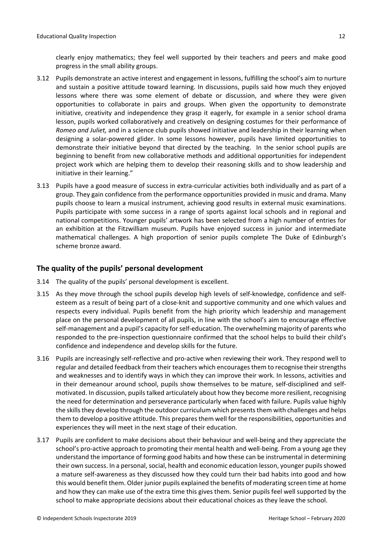clearly enjoy mathematics; they feel well supported by their teachers and peers and make good progress in the small ability groups.

- 3.12 Pupils demonstrate an active interest and engagement in lessons, fulfilling the school's aim to nurture and sustain a positive attitude toward learning. In discussions, pupils said how much they enjoyed lessons where there was some element of debate or discussion, and where they were given opportunities to collaborate in pairs and groups. When given the opportunity to demonstrate initiative, creativity and independence they grasp it eagerly, for example in a senior school drama lesson, pupils worked collaboratively and creatively on designing costumes for their performance of *Romeo and Juliet,* and in a science club pupils showed initiative and leadership in their learning when designing a solar-powered glider. In some lessons however, pupils have limited opportunities to demonstrate their initiative beyond that directed by the teaching. In the senior school pupils are beginning to benefit from new collaborative methods and additional opportunities for independent project work which are helping them to develop their reasoning skills and to show leadership and initiative in their learning."
- 3.13 Pupils have a good measure of success in extra-curricular activities both individually and as part of a group. They gain confidence from the performance opportunities provided in music and drama. Many pupils choose to learn a musical instrument, achieving good results in external music examinations. Pupils participate with some success in a range of sports against local schools and in regional and national competitions. Younger pupils' artwork has been selected from a high number of entries for an exhibition at the Fitzwilliam museum. Pupils have enjoyed success in junior and intermediate mathematical challenges. A high proportion of senior pupils complete The Duke of Edinburgh's scheme bronze award.

## <span id="page-11-0"></span>**The quality of the pupils' personal development**

- 3.14 The quality of the pupils' personal development is excellent.
- 3.15 As they move through the school pupils develop high levels of self-knowledge, confidence and selfesteem as a result of being part of a close-knit and supportive community and one which values and respects every individual. Pupils benefit from the high priority which leadership and management place on the personal development of all pupils, in line with the school's aim to encourage effective self-management and a pupil's capacity for self-education. The overwhelming majority of parents who responded to the pre-inspection questionnaire confirmed that the school helps to build their child's confidence and independence and develop skills for the future.
- 3.16 Pupils are increasingly self-reflective and pro-active when reviewing their work. They respond well to regular and detailed feedback from their teachers which encourages them to recognise their strengths and weaknesses and to identify ways in which they can improve their work. In lessons, activities and in their demeanour around school, pupils show themselves to be mature, self-disciplined and selfmotivated. In discussion, pupils talked articulately about how they become more resilient, recognising the need for determination and perseverance particularly when faced with failure. Pupils value highly the skills they develop through the outdoor curriculum which presents them with challenges and helps them to develop a positive attitude. This prepares them well for the responsibilities, opportunities and experiences they will meet in the next stage of their education.
- 3.17 Pupils are confident to make decisions about their behaviour and well-being and they appreciate the school's pro-active approach to promoting their mental health and well-being. From a young age they understand the importance of forming good habits and how these can be instrumental in determining their own success. In a personal, social, health and economic education lesson, younger pupils showed a mature self-awareness as they discussed how they could turn their bad habits into good and how this would benefit them. Older junior pupils explained the benefits of moderating screen time at home and how they can make use of the extra time this gives them. Senior pupils feel well supported by the school to make appropriate decisions about their educational choices as they leave the school.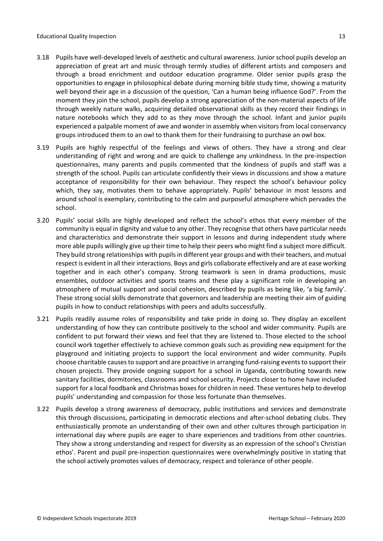- 3.18 Pupils have well-developed levels of aesthetic and cultural awareness. Junior school pupils develop an appreciation of great art and music through termly studies of different artists and composers and through a broad enrichment and outdoor education programme. Older senior pupils grasp the opportunities to engage in philosophical debate during morning bible study time, showing a maturity well beyond their age in a discussion of the question, 'Can a human being influence God?'. From the moment they join the school, pupils develop a strong appreciation of the non-material aspects of life through weekly nature walks, acquiring detailed observational skills as they record their findings in nature notebooks which they add to as they move through the school. Infant and junior pupils experienced a palpable moment of awe and wonder in assembly when visitors from local conservancy groups introduced them to an owl to thank them for their fundraising to purchase an owl box.
- 3.19 Pupils are highly respectful of the feelings and views of others. They have a strong and clear understanding of right and wrong and are quick to challenge any unkindness. In the pre-inspection questionnaires, many parents and pupils commented that the kindness of pupils and staff was a strength of the school. Pupils can articulate confidently their views in discussions and show a mature acceptance of responsibility for their own behaviour. They respect the school's behaviour policy which, they say, motivates them to behave appropriately. Pupils' behaviour in most lessons and around school is exemplary, contributing to the calm and purposeful atmosphere which pervades the school.
- 3.20 Pupils' social skills are highly developed and reflect the school's ethos that every member of the community is equal in dignity and value to any other. They recognise that others have particular needs and characteristics and demonstrate their support in lessons and during independent study where more able pupils willingly give up their time to help their peers who might find a subject more difficult. They build strong relationships with pupils in different year groups and with their teachers, and mutual respect is evident in all their interactions. Boys and girls collaborate effectively and are at ease working together and in each other's company. Strong teamwork is seen in drama productions, music ensembles, outdoor activities and sports teams and these play a significant role in developing an atmosphere of mutual support and social cohesion, described by pupils as being like, 'a big family'. These strong social skills demonstrate that governors and leadership are meeting their aim of guiding pupils in how to conduct relationships with peers and adults successfully.
- 3.21 Pupils readily assume roles of responsibility and take pride in doing so. They display an excellent understanding of how they can contribute positively to the school and wider community. Pupils are confident to put forward their views and feel that they are listened to. Those elected to the school council work together effectively to achieve common goals such as providing new equipment for the playground and initiating projects to support the local environment and wider community. Pupils choose charitable causes to support and are proactive in arranging fund-raising events to support their chosen projects. They provide ongoing support for a school in Uganda, contributing towards new sanitary facilities, dormitories, classrooms and school security. Projects closer to home have included support for a local foodbank and Christmas boxesfor children in need. These ventures help to develop pupils' understanding and compassion for those less fortunate than themselves.
- 3.22 Pupils develop a strong awareness of democracy, public institutions and services and demonstrate this through discussions, participating in democratic elections and after-school debating clubs. They enthusiastically promote an understanding of their own and other cultures through participation in international day where pupils are eager to share experiences and traditions from other countries. They show a strong understanding and respect for diversity as an expression of the school's Christian ethos'. Parent and pupil pre-inspection questionnaires were overwhelmingly positive in stating that the school actively promotes values of democracy, respect and tolerance of other people.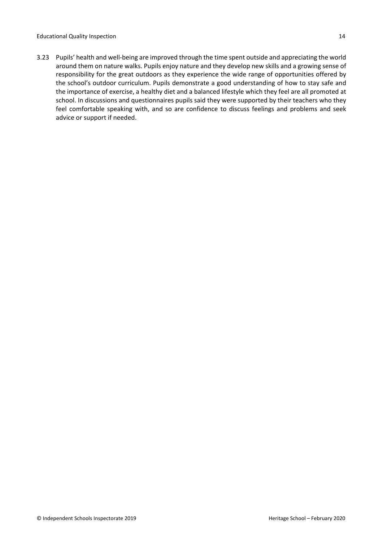3.23 Pupils' health and well-being are improved through the time spent outside and appreciating the world around them on nature walks. Pupils enjoy nature and they develop new skills and a growing sense of responsibility for the great outdoors as they experience the wide range of opportunities offered by the school's outdoor curriculum. Pupils demonstrate a good understanding of how to stay safe and the importance of exercise, a healthy diet and a balanced lifestyle which they feel are all promoted at school. In discussions and questionnaires pupils said they were supported by their teachers who they feel comfortable speaking with, and so are confidence to discuss feelings and problems and seek advice or support if needed.